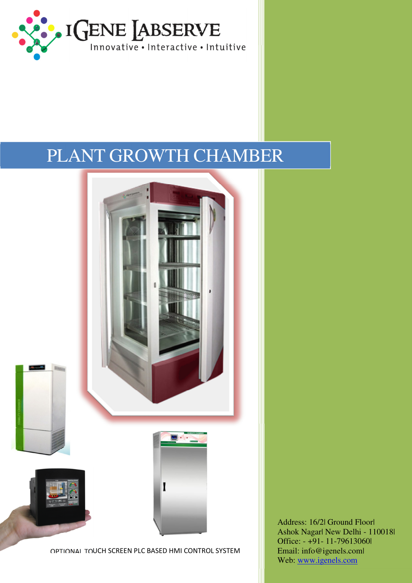

# PLANT GROWTH CHAMBER



Address: 16/2| Ground Floor| Ashok Nagar| New Delhi - 110018| Office: - +91- 11-79613060| Email: info@igenels.com| Web: www.igenels.com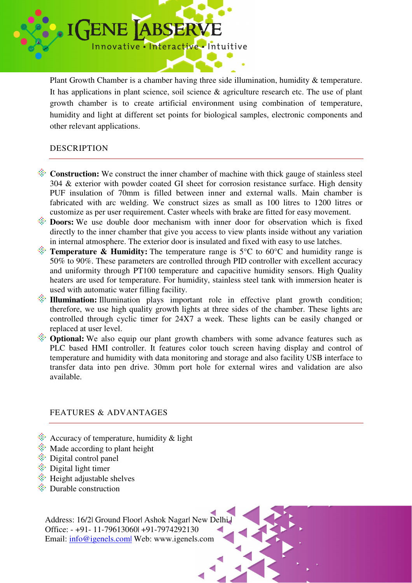

Plant Growth Chamber is a chamber having three side illumination, humidity & temperature. It has applications in plant science, soil science & agriculture research etc. The use of plant growth chamber is to create artificial environment using combination of temperature, humidity and light at different set points for biological samples, electronic components and other relevant applications.

### DESCRIPTION

- **Construction:** We construct the inner chamber of machine with thick gauge of stainless steel 304 & exterior with powder coated GI sheet for corrosion resistance surface. High density PUF insulation of 70mm is filled between inner and external walls. Main chamber is fabricated with arc welding. We construct sizes as small as 100 litres to 1200 litres or customize as per user requirement. Caster wheels with brake are fitted for easy movement.
- **Doors:** We use double door mechanism with inner door for observation which is fixed directly to the inner chamber that give you access to view plants inside without any variation in internal atmosphere. The exterior door is insulated and fixed with easy to use latches.
- **Temperature & Humidity:** The temperature range is  $5^{\circ}$ C to  $60^{\circ}$ C and humidity range is 50% to 90%. These parameters are controlled through PID controller with excellent accuracy and uniformity through PT100 temperature and capacitive humidity sensors. High Quality heaters are used for temperature. For humidity, stainless steel tank with immersion heater is used with automatic water filling facility.
- **Illumination:** Illumination plays important role in effective plant growth condition; therefore, we use high quality growth lights at three sides of the chamber. These lights are controlled through cyclic timer for 24X7 a week. These lights can be easily changed or replaced at user level.
- **Optional:** We also equip our plant growth chambers with some advance features such as PLC based HMI controller. It features color touch screen having display and control of temperature and humidity with data monitoring and storage and also facility USB interface to transfer data into pen drive. 30mm port hole for external wires and validation are also available.

## FEATURES & ADVANTAGES

- $\hat{\mathcal{R}}$  Accuracy of temperature, humidity & light
- $\ddot{\mathcal{R}}$  Made according to plant height
- $\hat{\mathcal{F}}$  Digital control panel
- $\hat{\mathcal{F}}$  Digital light timer
- $\hat{\mathcal{F}}$  Height adjustable shelves
- $\hat{\mathcal{F}}$  Durable construction

Address: 16/2l Ground Floorl Ashok Nagarl New Delhi Office: - +91- 11-79613060| +91-7974292130 Email: info@igenels.com| Web: www.igenels.com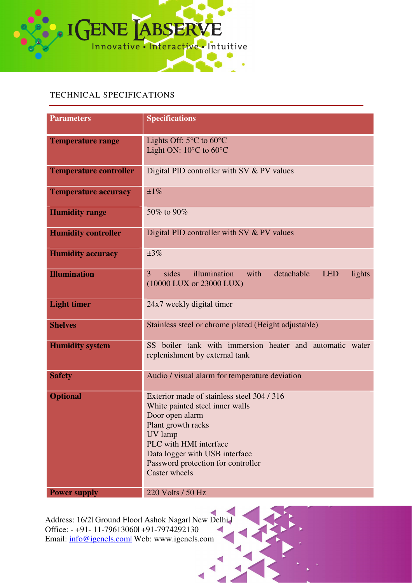

### TECHNICAL SPECIFICATIONS

| <b>Parameters</b>             | <b>Specifications</b>                                                                 |  |
|-------------------------------|---------------------------------------------------------------------------------------|--|
|                               |                                                                                       |  |
| <b>Temperature range</b>      | Lights Off: $5^{\circ}$ C to $60^{\circ}$ C                                           |  |
|                               | Light ON: $10^{\circ}$ C to $60^{\circ}$ C                                            |  |
|                               |                                                                                       |  |
| <b>Temperature controller</b> | Digital PID controller with SV & PV values                                            |  |
|                               |                                                                                       |  |
| <b>Temperature accuracy</b>   | ±1%                                                                                   |  |
|                               |                                                                                       |  |
| <b>Humidity range</b>         | 50% to 90%                                                                            |  |
|                               |                                                                                       |  |
| <b>Humidity controller</b>    | Digital PID controller with SV $&$ PV values                                          |  |
|                               |                                                                                       |  |
| <b>Humidity accuracy</b>      | $\pm 3\%$                                                                             |  |
|                               |                                                                                       |  |
| <b>Illumination</b>           | illumination<br>sides<br>with<br>detachable<br>$\overline{3}$<br><b>LED</b><br>lights |  |
|                               | (10000 LUX or 23000 LUX)                                                              |  |
|                               |                                                                                       |  |
| <b>Light timer</b>            | 24x7 weekly digital timer                                                             |  |
|                               |                                                                                       |  |
| <b>Shelves</b>                | Stainless steel or chrome plated (Height adjustable)                                  |  |
|                               |                                                                                       |  |
| <b>Humidity system</b>        | SS boiler tank with immersion heater and automatic water                              |  |
|                               | replenishment by external tank                                                        |  |
|                               |                                                                                       |  |
| <b>Safety</b>                 | Audio / visual alarm for temperature deviation                                        |  |
|                               |                                                                                       |  |
| <b>Optional</b>               | Exterior made of stainless steel 304/316                                              |  |
|                               | White painted steel inner walls                                                       |  |
|                               | Door open alarm                                                                       |  |
|                               | Plant growth racks                                                                    |  |
|                               | UV lamp                                                                               |  |
|                               | PLC with HMI interface                                                                |  |
|                               | Data logger with USB interface                                                        |  |
|                               | Password protection for controller                                                    |  |
|                               | Caster wheels                                                                         |  |
|                               |                                                                                       |  |
| <b>Power supply</b>           | 220 Volts / 50 Hz                                                                     |  |

 $\overline{\mathcal{L}}$ Address: 16/2| Ground Floor| Ashok Nagar| New Delhi | Office: - +91- 11-79613060| +91-7974292130 Email: info@igenels.com| Web: www.igenels.com